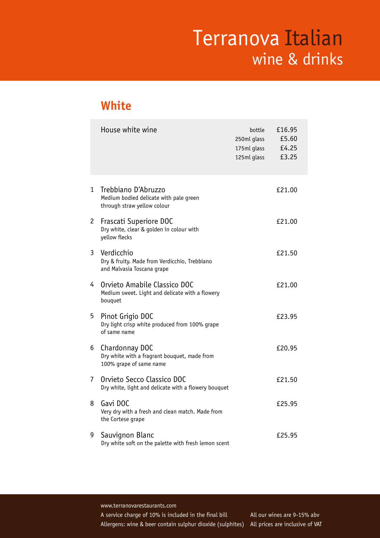#### **White**

|              | House white wine                                                                             | bottle<br>250ml glass<br>175ml glass<br>125ml glass | £16.95<br>£5.60<br>£4.25<br>£3.25 |
|--------------|----------------------------------------------------------------------------------------------|-----------------------------------------------------|-----------------------------------|
| $\mathbf{1}$ | Trebbiano D'Abruzzo<br>Medium bodied delicate with pale green<br>through straw yellow colour |                                                     | £21.00                            |
| $\mathbf{2}$ | Frascati Superiore DOC<br>Dry white, clear & golden in colour with<br>yellow flecks          |                                                     | £21.00                            |
| 3            | Verdicchio<br>Dry & fruity. Made from Verdicchio, Trebbiano<br>and Malvasia Toscana grape    |                                                     | £21.50                            |
| 4            | Orvieto Amabile Classico DOC<br>Medium sweet. Light and delicate with a flowery<br>bouquet   |                                                     | £21.00                            |
| 5            | Pinot Grigio DOC<br>Dry light crisp white produced from 100% grape<br>of same name           |                                                     | £23.95                            |
| 6            | Chardonnay DOC<br>Dry white with a fragrant bouquet, made from<br>100% grape of same name    |                                                     | £20.95                            |
| 7            | Orvieto Secco Classico DOC<br>Dry white, light and delicate with a flowery bouquet           |                                                     | £21.50                            |
| 8            | Gavi DOC<br>Very dry with a fresh and clean match. Made from<br>the Cortese grape            |                                                     | £25.95                            |
| 9            | Sauvignon Blanc<br>Dry white soft on the palette with fresh lemon scent                      |                                                     | £25.95                            |

www.terranovarestaurants.com

Allergens: wine & beer contain sulphur dioxide (sulphites) All prices are inclusive of VAT A service charge of 10% is included in the final bill All our wines are 9-15% abv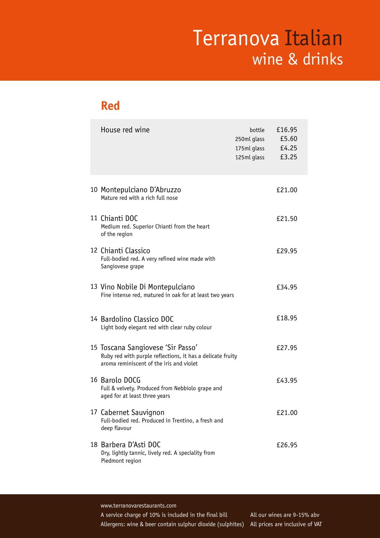#### **Red**

| House red wine                                                                                                                              | bottle<br>250ml glass<br>175ml glass<br>125ml glass | £16.95<br>£5.60<br>£4.25<br>£3.25 |
|---------------------------------------------------------------------------------------------------------------------------------------------|-----------------------------------------------------|-----------------------------------|
| 10 Montepulciano D'Abruzzo<br>Mature red with a rich full nose                                                                              |                                                     | £21.00                            |
| 11 Chianti DOC<br>Medium red. Superior Chianti from the heart<br>of the region                                                              |                                                     | £21.50                            |
| 12 Chianti Classico<br>Full-bodied red. A very refined wine made with<br>Sangiovese grape                                                   |                                                     | £29.95                            |
| 13 Vino Nobile Di Montepulciano<br>Fine intense red, matured in oak for at least two years                                                  |                                                     | £34.95                            |
| 14 Bardolino Classico DOC<br>Light body elegant red with clear ruby colour                                                                  |                                                     | £18.95                            |
| 15 Toscana Sangiovese 'Sir Passo'<br>Ruby red with purple reflections, it has a delicate fruity<br>aroma reminiscent of the iris and violet |                                                     | £27.95                            |
| 16 Barolo DOCG<br>Full & velvety. Produced from Nebbiolo grape and<br>aged for at least three years                                         |                                                     | £43.95                            |
| 17 Cabernet Sauvignon<br>Full-bodied red. Produced in Trentino, a fresh and<br>deep flavour                                                 |                                                     | £21.00                            |
| 18 Barbera D'Asti DOC<br>Dry, lightly tannic, lively red. A speciality from<br>Piedmont region                                              |                                                     | £26.95                            |

www.terranovarestaurants.com

Allergens: wine & beer contain sulphur dioxide (sulphites) All prices are inclusive of VAT A service charge of 10% is included in the final bill All our wines are 9-15% abv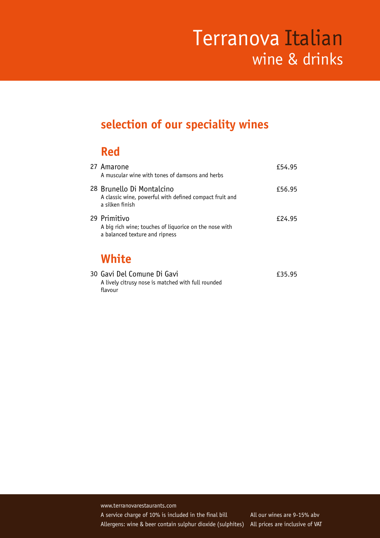### **selection of our speciality wines**

### **Red**

| White<br>$20 \text{ C} \cdot \frac{1}{2}$ Del Cemune Di Cevi                                             | car ar |
|----------------------------------------------------------------------------------------------------------|--------|
| 29 Primitivo<br>A big rich wine; touches of liquorice on the nose with<br>a balanced texture and ripness | £24.95 |
| 28 Brunello Di Montalcino<br>A classic wine, powerful with defined compact fruit and<br>a silken finish  | £56.95 |
| 27 Amarone<br>A muscular wine with tones of damsons and herbs                                            | £54.95 |

| 30 Gavi Del Comune Di Gavi                         | £35.95 |
|----------------------------------------------------|--------|
| A lively citrusy nose is matched with full rounded |        |
| flavour                                            |        |

www.terranovarestaurants.com Allergens: wine & beer contain sulphur dioxide (sulphites) All prices are inclusive of VAT A service charge of 10% is included in the final bill All our wines are 9-15% abv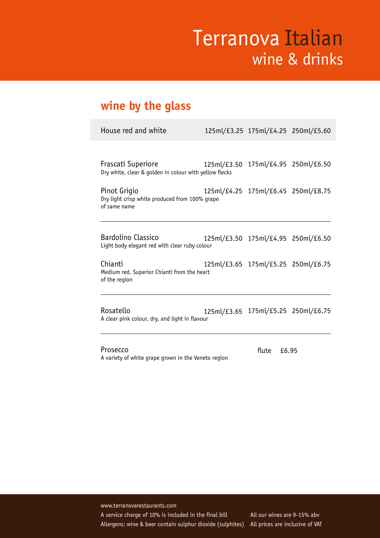### **wine by the glass**

| House red and white                                                            | 125ml/£3.25 175ml/£4.25 250ml/£5.60 |  |
|--------------------------------------------------------------------------------|-------------------------------------|--|
|                                                                                |                                     |  |
| Frascati Superiore<br>Dry white, clear & golden in colour with yellow flecks   | 125ml/£3.50 175ml/£4.95 250ml/£6.50 |  |
| Pinot Grigio<br>Dry light crisp white produced from 100% grape<br>of same name | 125ml/£4.25 175ml/£6.45 250ml/£8.75 |  |
| Bardolino Classico<br>Light body elegant red with clear ruby colour            | 125ml/£3.50 175ml/£4.95 250ml/£6.50 |  |
| Chianti<br>Medium red. Superior Chianti from the heart<br>of the region        | 125ml/£3.65 175ml/£5.25 250ml/£6.75 |  |
| Rosatello<br>A clear pink colour, dry, and light in flavour                    | 125ml/£3.65 175ml/£5.25 250ml/£6.75 |  |

Prosecco A variety of white grape grown in the Veneto region

flute £6.95

www.terranovarestaurants.com Allergens: wine & beer contain sulphur dioxide (sulphites) All prices are inclusive of VAT A service charge of 10% is included in the final bill All our wines are 9-15% abv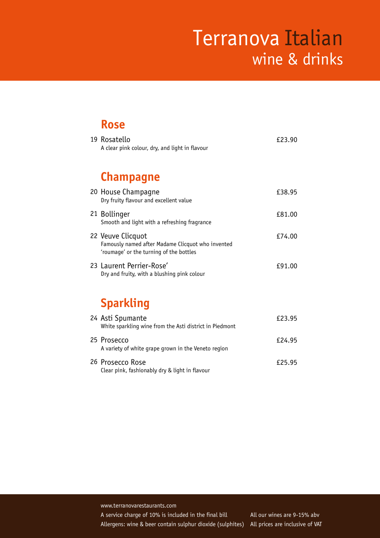#### **Rose**

| 19 Rosatello<br>A clear pink colour, dry, and light in flavour                                                    | £23.90 |
|-------------------------------------------------------------------------------------------------------------------|--------|
| <b>Champagne</b>                                                                                                  |        |
| 20 House Champagne<br>Dry fruity flavour and excellent value                                                      | £38.95 |
| 21 Bollinger<br>Smooth and light with a refreshing fragrance                                                      | £81.00 |
| 22 Veuve Clicquot<br>Famously named after Madame Clicquot who invented<br>'roumage' or the turning of the bottles | £74.00 |
| 23 Laurent Perrier-Rose'<br>Dry and fruity, with a blushing pink colour                                           | £91.00 |
| Cacadalóna                                                                                                        |        |

#### **Sparkling** 24 Asti Spumante **E23.95** White sparkling wine from the Asti district in Piedmont

| 25 Prosecco<br>A variety of white grape grown in the Veneto region | £24.95 |
|--------------------------------------------------------------------|--------|
| 26 Prosecco Rose<br>Clear pink, fashionably dry & light in flavour | £25.95 |

www.terranovarestaurants.com A service charge of 10% is included in the final bill All our wines are 9-15% abv Allergens: wine & beer contain sulphur dioxide (sulphites)

All prices are inclusive of VAT